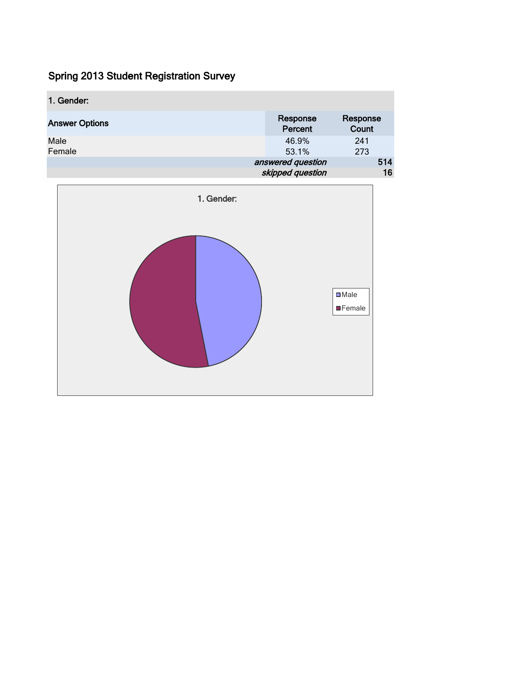| 1. Gender:            |                     |                   |
|-----------------------|---------------------|-------------------|
| <b>Answer Options</b> | Response<br>Percent | Response<br>Count |
| Male<br>Female        | 46.9%<br>53.1%      | 241<br>273        |
|                       | answered question   | 514               |
|                       | skipped question    | 16                |

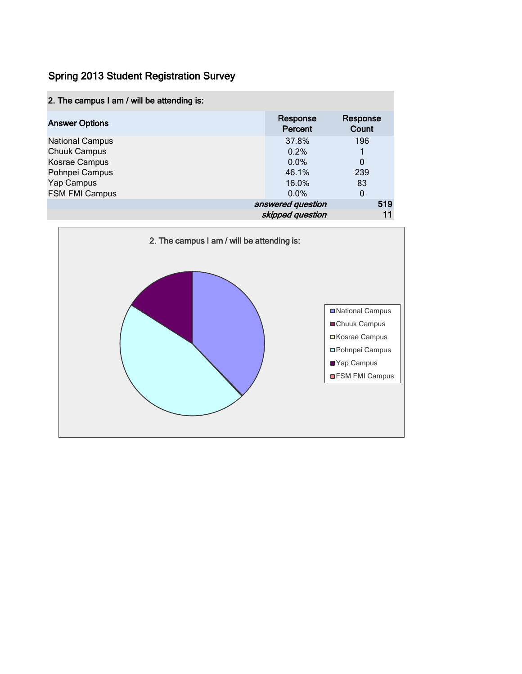| 2. The campus I am / will be attending is: |                     |                   |
|--------------------------------------------|---------------------|-------------------|
| <b>Answer Options</b>                      | Response<br>Percent | Response<br>Count |
| <b>National Campus</b>                     | 37.8%               | 196               |
| <b>Chuuk Campus</b>                        | 0.2%                |                   |
| Kosrae Campus                              | 0.0%                | 0                 |
| Pohnpei Campus                             | 46.1%               | 239               |
| Yap Campus                                 | 16.0%               | 83                |
| <b>FSM FMI Campus</b>                      | $0.0\%$             | 0                 |
|                                            | answered question   | 519               |
|                                            | skipped question    |                   |

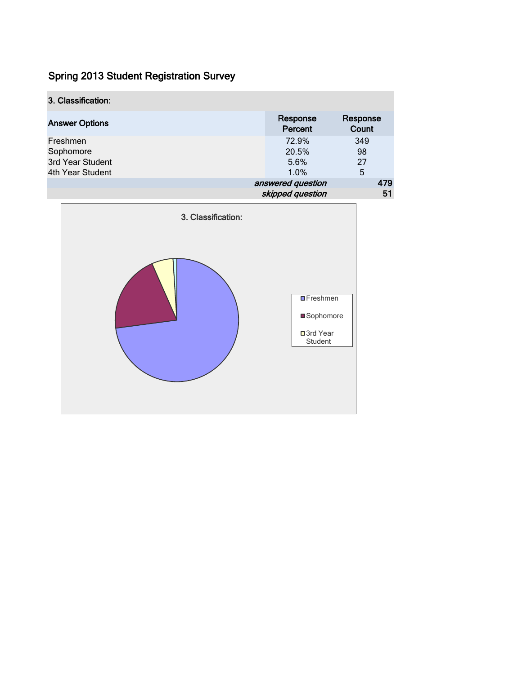| 3. Classification:    |                     |                   |
|-----------------------|---------------------|-------------------|
| <b>Answer Options</b> | Response<br>Percent | Response<br>Count |
| Freshmen              | 72.9%               | 349               |
| Sophomore             | 20.5%               | 98                |
| 3rd Year Student      | 5.6%                | 27                |
| 4th Year Student      | 1.0%                | 5                 |
|                       | answered question   | 479               |
|                       | skipped question    | 51                |

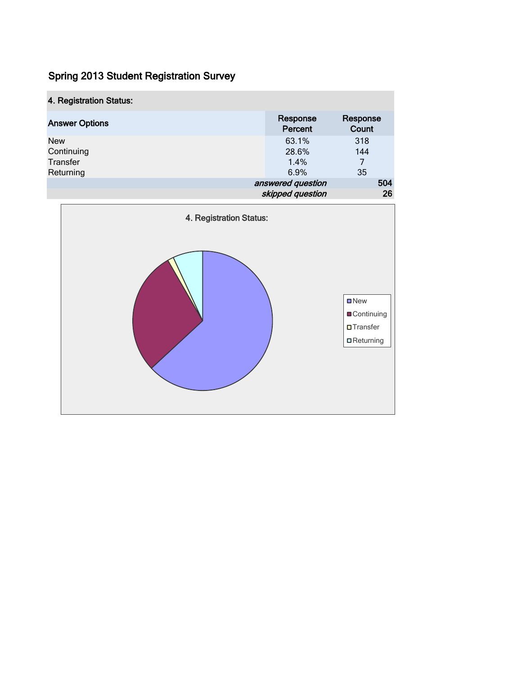| 4. Registration Status: |                     |                   |
|-------------------------|---------------------|-------------------|
| <b>Answer Options</b>   | Response<br>Percent | Response<br>Count |
| <b>New</b>              | 63.1%               | 318               |
| Continuing              | 28.6%               | 144               |
| Transfer                | 1.4%                | 7                 |
| Returning               | 6.9%                | 35                |
|                         | answered question   | 504               |
|                         | skipped question    | 26                |

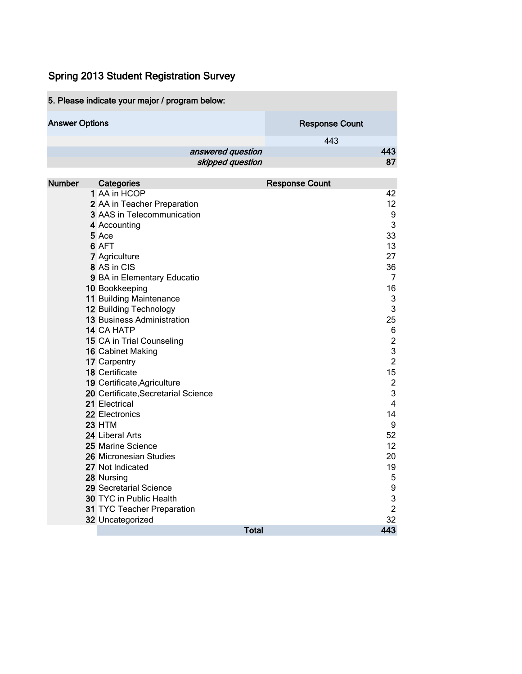|                       | 5. Please indicate your major / program below:                     |                       |
|-----------------------|--------------------------------------------------------------------|-----------------------|
| <b>Answer Options</b> |                                                                    | <b>Response Count</b> |
|                       |                                                                    | 443                   |
|                       | answered question<br>skipped question                              | 443<br>87             |
| <b>Number</b>         | Categories                                                         | <b>Response Count</b> |
|                       | 1 AA in HCOP                                                       | 42                    |
|                       | 2 AA in Teacher Preparation                                        | 12                    |
|                       | 3 AAS in Telecommunication                                         | 9<br>3                |
|                       | 4 Accounting<br>5 Ace                                              | 33                    |
|                       | 6 AFT                                                              | 13                    |
|                       | 7 Agriculture                                                      | 27                    |
|                       | 8 AS in CIS                                                        | 36                    |
|                       | 9 BA in Elementary Educatio                                        | 7                     |
|                       | 10 Bookkeeping                                                     | 16                    |
|                       | 11 Building Maintenance                                            | 3                     |
|                       | 12 Building Technology                                             | 3                     |
|                       | 13 Business Administration                                         | 25                    |
|                       | 14 CA HATP                                                         | 6                     |
|                       | 15 CA in Trial Counseling                                          | $\overline{c}$        |
|                       | 16 Cabinet Making                                                  | 3                     |
|                       | 17 Carpentry                                                       | $\overline{2}$        |
|                       | 18 Certificate                                                     | 15<br>$\overline{2}$  |
|                       | 19 Certificate, Agriculture<br>20 Certificate, Secretarial Science | 3                     |
|                       | 21 Electrical                                                      | $\overline{4}$        |
|                       | 22 Electronics                                                     | 14                    |
|                       | <b>23 HTM</b>                                                      | $\boldsymbol{9}$      |
|                       | 24 Liberal Arts                                                    | 52                    |
|                       | 25 Marine Science                                                  | 12                    |
|                       | 26 Micronesian Studies                                             | 20                    |
|                       | 27 Not Indicated                                                   | 19                    |
|                       | 28 Nursing                                                         | 5                     |
|                       | 29 Secretarial Science                                             | 9                     |
|                       | 30 TYC in Public Health                                            | 3                     |
|                       | 31 TYC Teacher Preparation                                         | $\overline{2}$        |
|                       | 32 Uncategorized<br><b>Total</b>                                   | 32<br>443             |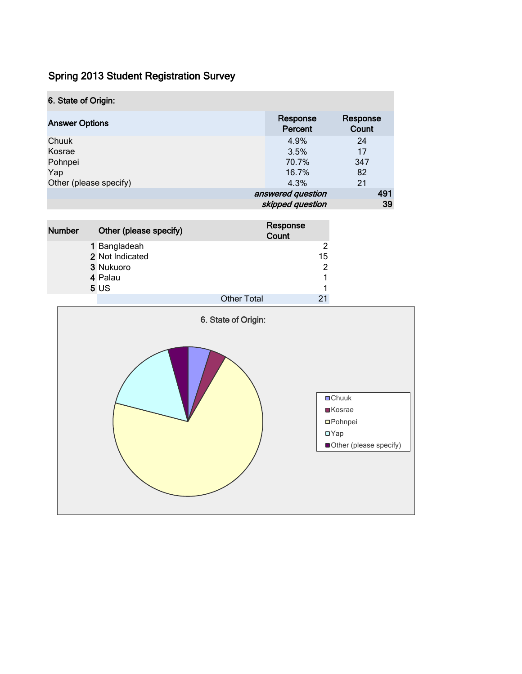| 6. State of Origin:    |                     |                   |
|------------------------|---------------------|-------------------|
| <b>Answer Options</b>  | Response<br>Percent | Response<br>Count |
| Chuuk                  | 4.9%                | 24                |
| Kosrae                 | 3.5%                | 17                |
| Pohnpei                | 70.7%               | 347               |
| Yap                    | 16.7%               | 82                |
| Other (please specify) | 4.3%                | 21                |
|                        | answered question   | 491               |
|                        | skipped question    | 39                |
|                        |                     |                   |

| <b>Number</b> | Other (please specify) | Response<br>Count  |    |
|---------------|------------------------|--------------------|----|
|               | 1 Bangladeah           |                    | 2  |
|               | 2 Not Indicated        |                    | 15 |
|               | 3 Nukuoro              |                    | 2  |
|               | 4 Palau                |                    |    |
|               | 5US                    |                    |    |
|               |                        | <b>Other Total</b> |    |

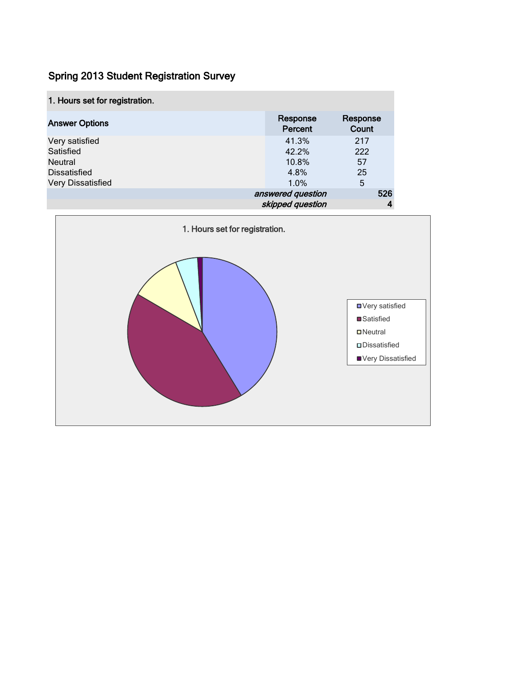| 1. Hours set for registration. |                     |                   |
|--------------------------------|---------------------|-------------------|
| <b>Answer Options</b>          | Response<br>Percent | Response<br>Count |
| Very satisfied                 | 41.3%               | 217               |
| Satisfied                      | 42.2%               | 222               |
| <b>Neutral</b>                 | 10.8%               | 57                |
| <b>Dissatisfied</b>            | 4.8%                | 25                |
| Very Dissatisfied              | 1.0%                | 5                 |
|                                | answered question   | 526               |
|                                | skipped question    |                   |

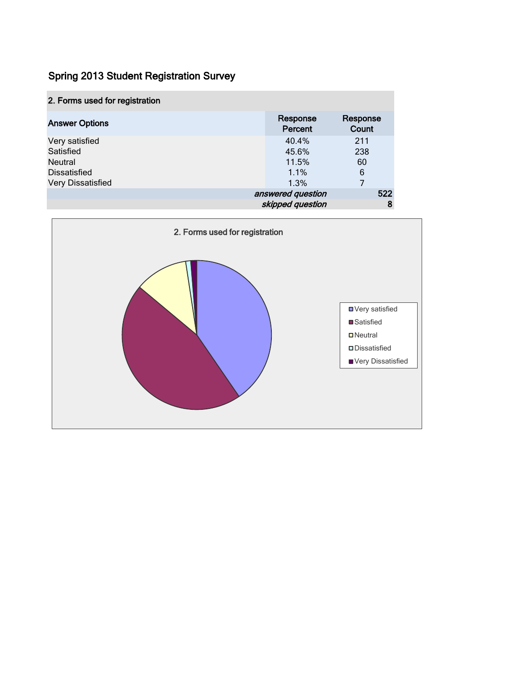| 2. Forms used for registration |                     |                   |
|--------------------------------|---------------------|-------------------|
| <b>Answer Options</b>          | Response<br>Percent | Response<br>Count |
| Very satisfied                 | 40.4%               | 211               |
| Satisfied                      | 45.6%               | 238               |
| <b>Neutral</b>                 | 11.5%               | 60                |
| <b>Dissatisfied</b>            | 1.1%                | 6                 |
| Very Dissatisfied              | 1.3%                |                   |
|                                | answered question   | 522               |
|                                | skipped question    | 8                 |

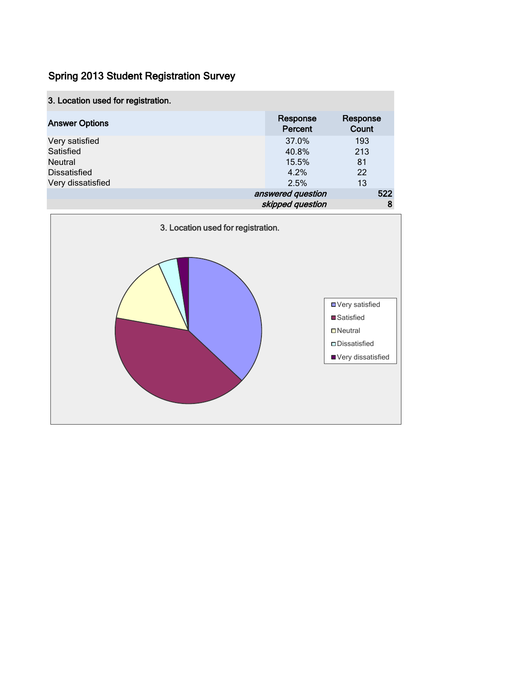|  |  |  |  | 3. Location used for registration. |
|--|--|--|--|------------------------------------|
|--|--|--|--|------------------------------------|

| <b>Answer Options</b> | Response<br>Percent | Response<br>Count |
|-----------------------|---------------------|-------------------|
| Very satisfied        | 37.0%               | 193               |
| Satisfied             | 40.8%               | 213               |
| <b>Neutral</b>        | 15.5%               | 81                |
| <b>Dissatisfied</b>   | 4.2%                | 22                |
| Very dissatisfied     | 2.5%                | 13                |
|                       | answered question   | 522               |
|                       | skipped question    | 8                 |

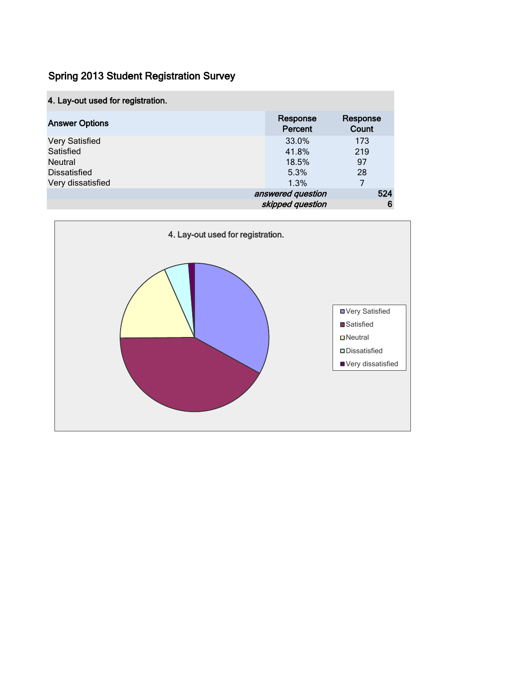|  |  |  |  | 4. Lay-out used for registration. |  |
|--|--|--|--|-----------------------------------|--|
|--|--|--|--|-----------------------------------|--|

| <b>Answer Options</b> | Response<br>Percent | Response<br>Count |
|-----------------------|---------------------|-------------------|
| <b>Very Satisfied</b> | 33.0%               | 173               |
| Satisfied             | 41.8%               | 219               |
| <b>Neutral</b>        | 18.5%               | 97                |
| <b>Dissatisfied</b>   | 5.3%                | 28                |
| Very dissatisfied     | 1.3%                |                   |
|                       | answered question   | 524               |
|                       | skipped question    | 6                 |

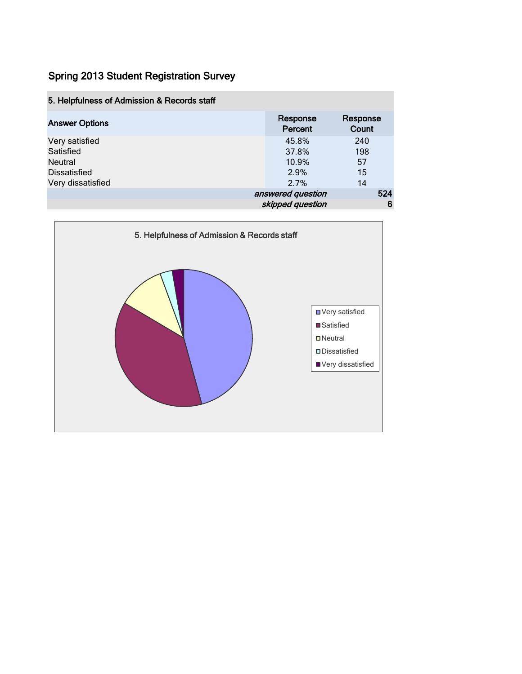| 5. Helpfulness of Admission & Records staff |                     |                   |
|---------------------------------------------|---------------------|-------------------|
| <b>Answer Options</b>                       | Response<br>Percent | Response<br>Count |
| Very satisfied                              | 45.8%               | 240               |
| Satisfied                                   | 37.8%               | 198               |
| Neutral                                     | 10.9%               | 57                |
| <b>Dissatisfied</b>                         | 2.9%                | 15                |
| Very dissatisfied                           | 2.7%                | 14                |
|                                             | answered question   | 524               |
|                                             | skipped question    | 6                 |

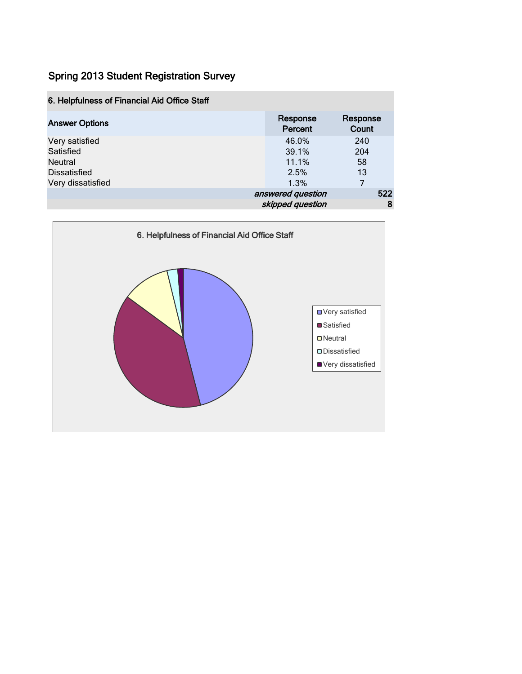| 6. Helpfulness of Financial Aid Office Staff |                     |                   |
|----------------------------------------------|---------------------|-------------------|
| <b>Answer Options</b>                        | Response<br>Percent | Response<br>Count |
| Very satisfied                               | 46.0%               | 240               |
| Satisfied                                    | 39.1%               | 204               |
| <b>Neutral</b>                               | 11.1%               | 58                |
| <b>Dissatisfied</b>                          | 2.5%                | 13                |
| Very dissatisfied                            | 1.3%                | 7                 |
|                                              | answered question   | 522               |
|                                              | skipped question    | 8                 |

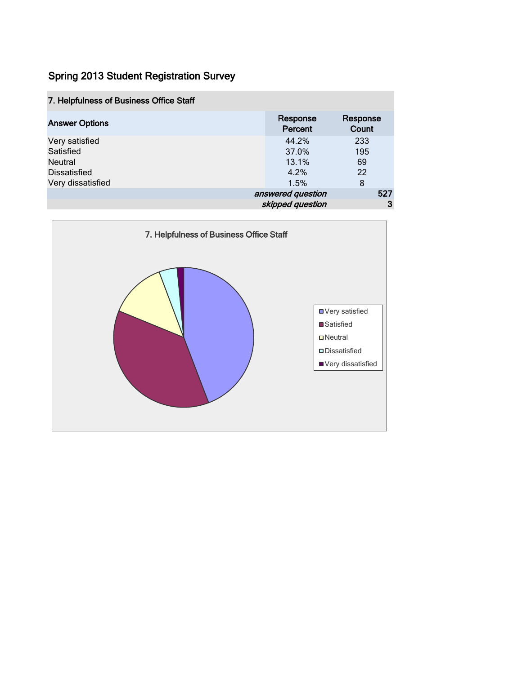| 7. Helpfulness of Business Office Staff |                     |                   |
|-----------------------------------------|---------------------|-------------------|
| <b>Answer Options</b>                   | Response<br>Percent | Response<br>Count |
| Very satisfied                          | 44.2%               | 233               |
| Satisfied                               | 37.0%               | 195               |
| <b>Neutral</b>                          | 13.1%               | 69                |
| Dissatisfied                            | 4.2%                | 22                |
| Very dissatisfied                       | 1.5%                | 8                 |
|                                         | answered question   | 527               |
|                                         | skipped question    | 3                 |

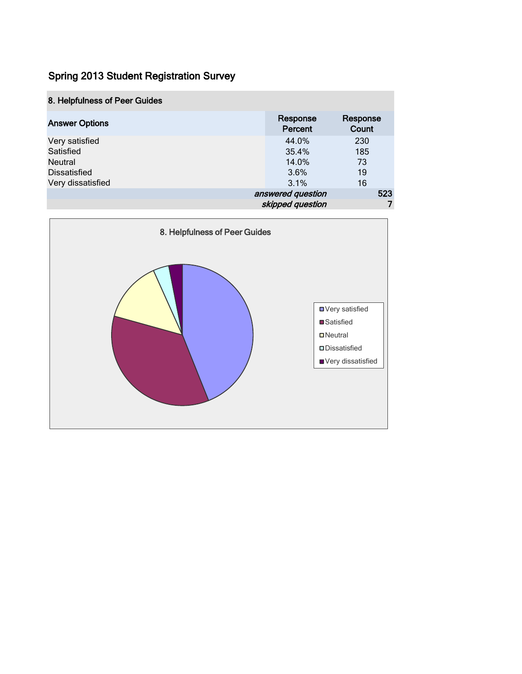|  |  |  |  |  | 8. Helpfulness of Peer Guides |
|--|--|--|--|--|-------------------------------|
|--|--|--|--|--|-------------------------------|

| <b>Answer Options</b> | Response<br>Percent | Response<br>Count |
|-----------------------|---------------------|-------------------|
| Very satisfied        | 44.0%               | 230               |
| Satisfied             | 35.4%               | 185               |
| <b>Neutral</b>        | 14.0%               | 73                |
| <b>Dissatisfied</b>   | 3.6%                | 19                |
| Very dissatisfied     | 3.1%                | 16                |
|                       | answered question   | 523               |
|                       | skipped question    |                   |

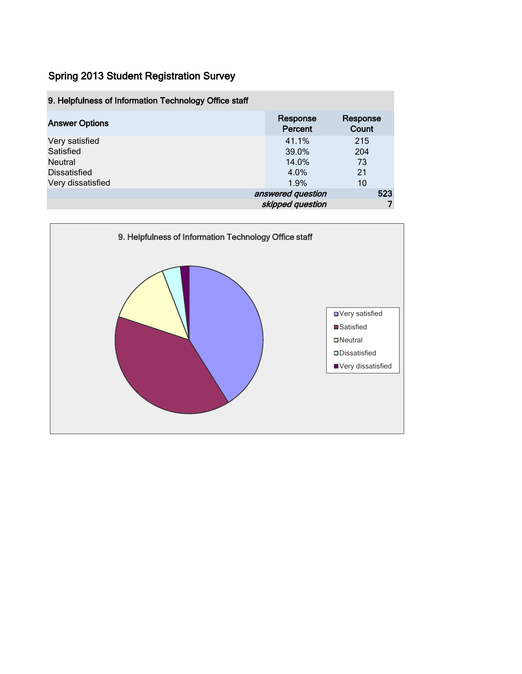| 9. Helpfulness of Information Technology Office staff                       |                                         |                              |
|-----------------------------------------------------------------------------|-----------------------------------------|------------------------------|
| <b>Answer Options</b>                                                       | Response<br>Percent                     | Response<br>Count            |
| Very satisfied<br>Satisfied<br>Neutral<br>Dissatisfied<br>Very dissatisfied | 41.1%<br>39.0%<br>14.0%<br>4.0%<br>1.9% | 215<br>204<br>73<br>21<br>10 |
|                                                                             | answered question<br>skipped question   | 523                          |

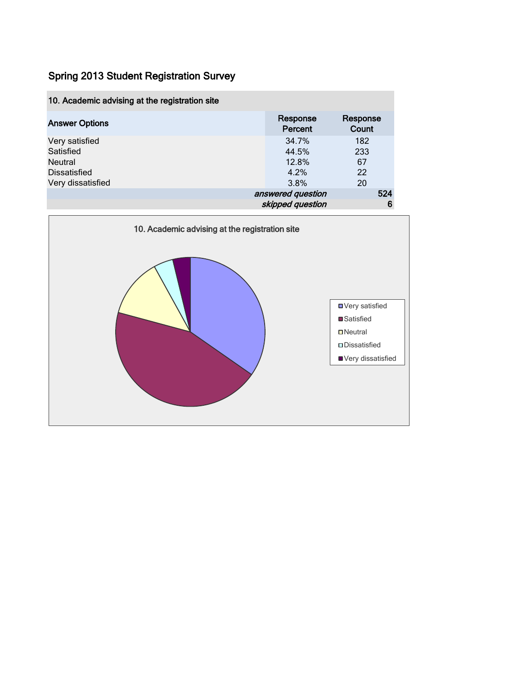| 10. Academic advising at the registration site |                     |                   |
|------------------------------------------------|---------------------|-------------------|
| <b>Answer Options</b>                          | Response<br>Percent | Response<br>Count |
| Very satisfied                                 | 34.7%               | 182               |
| Satisfied                                      | 44.5%               | 233               |
| <b>Neutral</b>                                 | 12.8%               | 67                |
| <b>Dissatisfied</b>                            | 4.2%                | 22                |
| Very dissatisfied                              | 3.8%                | 20                |
|                                                | answered question   | 524               |
|                                                | skipped question    | 6                 |

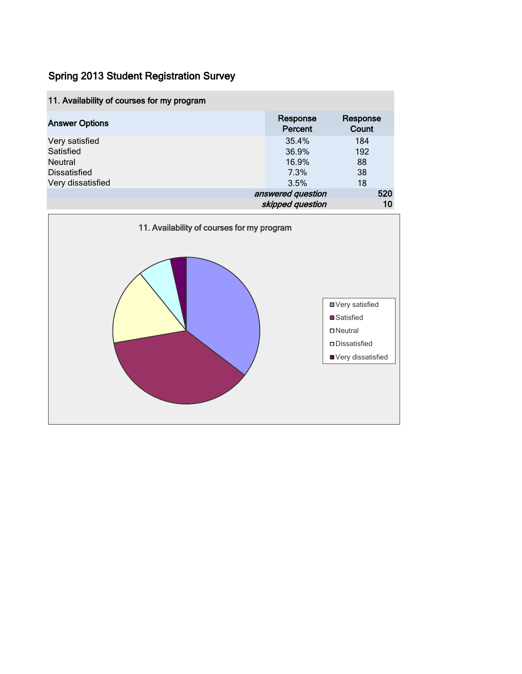| 11. Availability of courses for my program                                  |                                         |                              |
|-----------------------------------------------------------------------------|-----------------------------------------|------------------------------|
| <b>Answer Options</b>                                                       | Response<br>Percent                     | Response<br>Count            |
| Very satisfied<br>Satisfied<br>Neutral<br>Dissatisfied<br>Very dissatisfied | 35.4%<br>36.9%<br>16.9%<br>7.3%<br>3.5% | 184<br>192<br>88<br>38<br>18 |
|                                                                             | answered question<br>skipped question   | 520<br>10                    |

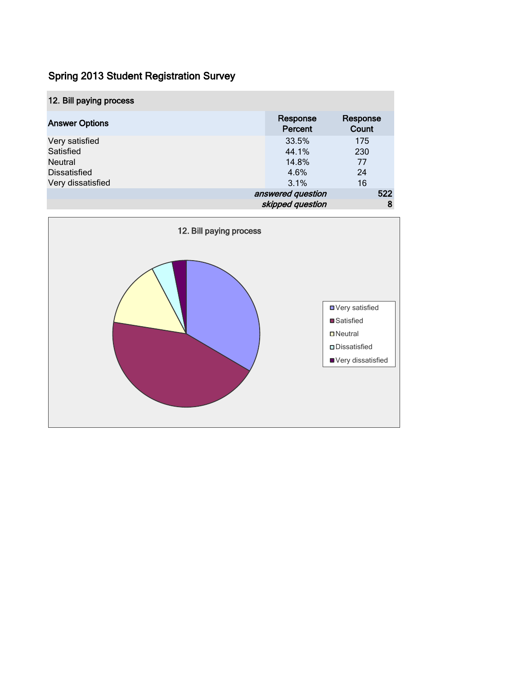| 12. Bill paying process                                              |                                               |                        |
|----------------------------------------------------------------------|-----------------------------------------------|------------------------|
| <b>Answer Options</b>                                                | Response<br>Percent                           | Response<br>Count      |
| Very satisfied<br>Satisfied<br><b>Neutral</b><br><b>Dissatisfied</b> | 33.5%<br>44.1%<br>14.8%<br>4.6%               | 175<br>230<br>77<br>24 |
| Very dissatisfied                                                    | 3.1%<br>answered question<br>skipped question | 16<br>522<br>8         |

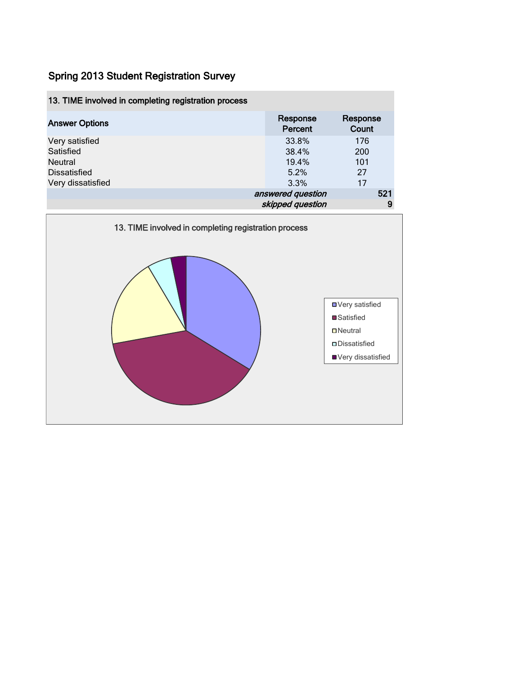| 13. TIME involved in completing registration process                               |                                         |                               |
|------------------------------------------------------------------------------------|-----------------------------------------|-------------------------------|
| <b>Answer Options</b>                                                              | Response<br>Percent                     | Response<br>Count             |
| Very satisfied<br>Satisfied<br>Neutral<br><b>Dissatisfied</b><br>Very dissatisfied | 33.8%<br>38.4%<br>19.4%<br>5.2%<br>3.3% | 176<br>200<br>101<br>27<br>17 |
|                                                                                    | answered question<br>skipped question   | 521<br>9                      |

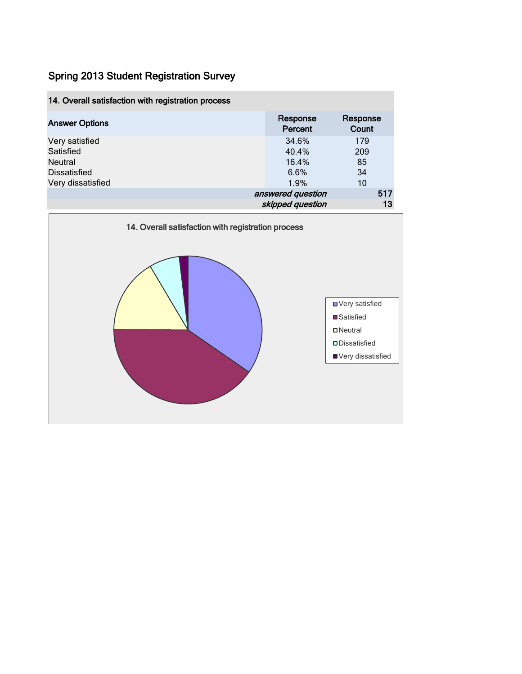| 14. Overall satisfaction with registration process |                     |                   |  |
|----------------------------------------------------|---------------------|-------------------|--|
| <b>Answer Options</b>                              | Response<br>Percent | Response<br>Count |  |
| Very satisfied                                     | 34.6%               | 179               |  |
| Satisfied                                          | 40.4%               | 209               |  |
| <b>Neutral</b>                                     | 16.4%               | 85                |  |
| <b>Dissatisfied</b>                                | 6.6%                | 34                |  |
| Very dissatisfied                                  | 1.9%                | 10                |  |
|                                                    | answered question   | 517               |  |
|                                                    | skipped question    | 13                |  |

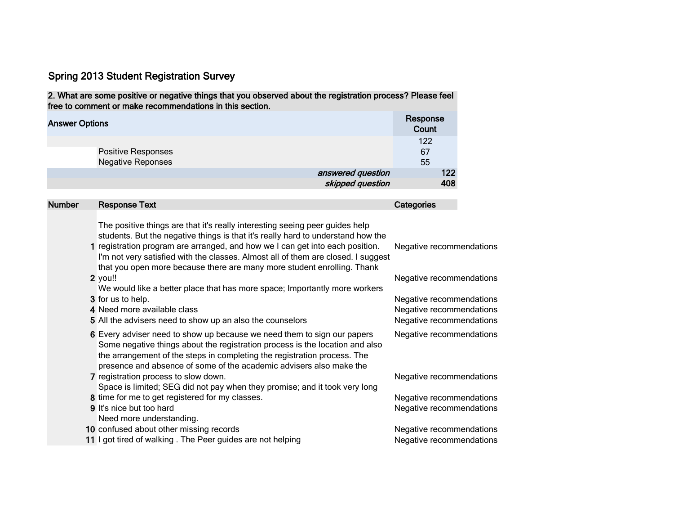2. What are some positive or negative things that you observed about the registration process? Please feel free to comment or make recommendations in this section.

| <b>Answer Options</b>                          | Response<br>Count |
|------------------------------------------------|-------------------|
| Positive Responses<br><b>Negative Reponses</b> | 122<br>67<br>55   |
| answered question<br>skipped question          | 122<br>408        |

| <b>Number</b> | <b>Response Text</b>                                                                                                                                                                                                                                                                                                                                                                                              | Categories                                                                       |
|---------------|-------------------------------------------------------------------------------------------------------------------------------------------------------------------------------------------------------------------------------------------------------------------------------------------------------------------------------------------------------------------------------------------------------------------|----------------------------------------------------------------------------------|
|               | The positive things are that it's really interesting seeing peer guides help<br>students. But the negative things is that it's really hard to understand how the<br>1 registration program are arranged, and how we I can get into each position.<br>I'm not very satisfied with the classes. Almost all of them are closed. I suggest<br>that you open more because there are many more student enrolling. Thank | Negative recommendations                                                         |
|               | 2 you!!<br>We would like a better place that has more space; Importantly more workers                                                                                                                                                                                                                                                                                                                             | Negative recommendations                                                         |
|               | 3 for us to help.<br>4 Need more available class<br>5 All the advisers need to show up an also the counselors                                                                                                                                                                                                                                                                                                     | Negative recommendations<br>Negative recommendations<br>Negative recommendations |
|               | 6 Every adviser need to show up because we need them to sign our papers<br>Some negative things about the registration process is the location and also<br>the arrangement of the steps in completing the registration process. The<br>presence and absence of some of the academic advisers also make the                                                                                                        | Negative recommendations                                                         |
|               | 7 registration process to slow down.<br>Space is limited; SEG did not pay when they promise; and it took very long                                                                                                                                                                                                                                                                                                | Negative recommendations                                                         |
|               | 8 time for me to get registered for my classes.                                                                                                                                                                                                                                                                                                                                                                   | Negative recommendations                                                         |
|               | <b>9</b> It's nice but too hard<br>Need more understanding.                                                                                                                                                                                                                                                                                                                                                       | Negative recommendations                                                         |
|               | 10 confused about other missing records                                                                                                                                                                                                                                                                                                                                                                           | Negative recommendations                                                         |
|               | 11 I got tired of walking. The Peer guides are not helping                                                                                                                                                                                                                                                                                                                                                        | Negative recommendations                                                         |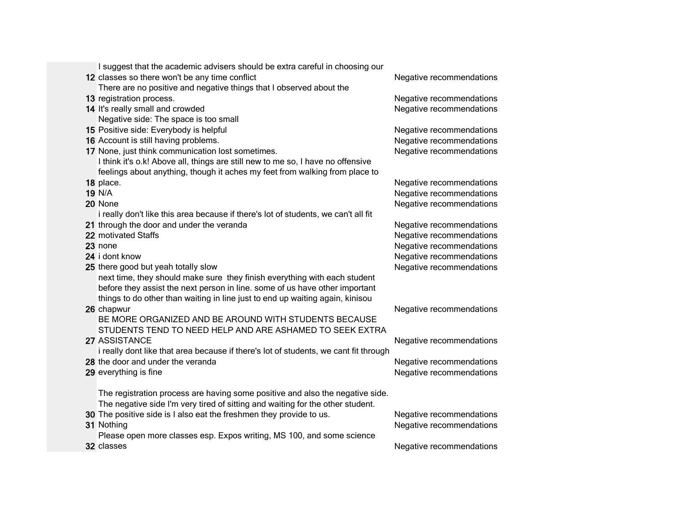| I suggest that the academic advisers should be extra careful in choosing our         |                          |
|--------------------------------------------------------------------------------------|--------------------------|
| 12 classes so there won't be any time conflict                                       | Negative recommendations |
| There are no positive and negative things that I observed about the                  |                          |
| 13 registration process.                                                             | Negative recommendations |
| 14 It's really small and crowded                                                     | Negative recommendations |
| Negative side: The space is too small                                                |                          |
| 15 Positive side: Everybody is helpful                                               | Negative recommendations |
| 16 Account is still having problems.                                                 | Negative recommendations |
| 17 None, just think communication lost sometimes.                                    | Negative recommendations |
| I think it's o.k! Above all, things are still new to me so, I have no offensive      |                          |
| feelings about anything, though it aches my feet from walking from place to          |                          |
| 18 place.                                                                            | Negative recommendations |
| <b>19 N/A</b>                                                                        | Negative recommendations |
| 20 None                                                                              | Negative recommendations |
| i really don't like this area because if there's lot of students, we can't all fit   |                          |
| 21 through the door and under the veranda                                            | Negative recommendations |
| 22 motivated Staffs                                                                  | Negative recommendations |
| 23 none                                                                              | Negative recommendations |
| 24 i dont know                                                                       | Negative recommendations |
| 25 there good but yeah totally slow                                                  | Negative recommendations |
| next time, they should make sure they finish everything with each student            |                          |
| before they assist the next person in line. some of us have other important          |                          |
| things to do other than waiting in line just to end up waiting again, kinisou        |                          |
| 26 chapwur                                                                           | Negative recommendations |
| BE MORE ORGANIZED AND BE AROUND WITH STUDENTS BECAUSE                                |                          |
| STUDENTS TEND TO NEED HELP AND ARE ASHAMED TO SEEK EXTRA                             |                          |
| 27 ASSISTANCE                                                                        | Negative recommendations |
| i really dont like that area because if there's lot of students, we cant fit through |                          |
| 28 the door and under the veranda                                                    | Negative recommendations |
| 29 everything is fine                                                                | Negative recommendations |
|                                                                                      |                          |
| The registration process are having some positive and also the negative side.        |                          |
| The negative side I'm very tired of sitting and waiting for the other student.       |                          |
| 30 The positive side is I also eat the freshmen they provide to us.                  | Negative recommendations |
| 31 Nothing                                                                           | Negative recommendations |
| Please open more classes esp. Expos writing, MS 100, and some science                |                          |
| 32 classes                                                                           | Negative recommendations |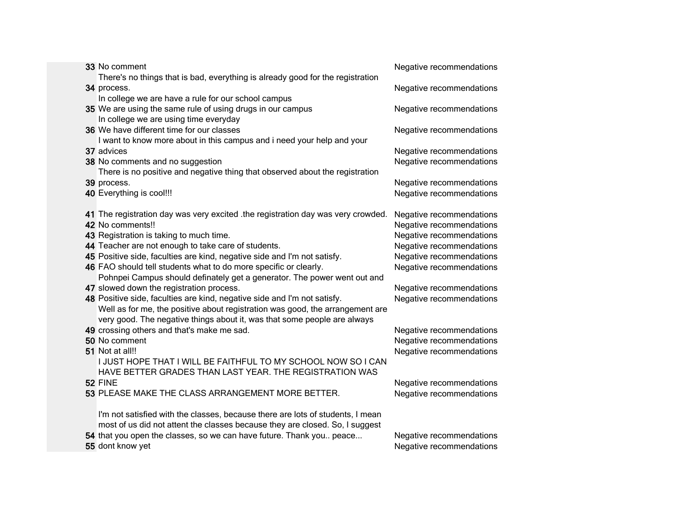| 33 No comment                                                                   | Negative recommendations |
|---------------------------------------------------------------------------------|--------------------------|
| There's no things that is bad, everything is already good for the registration  |                          |
| 34 process.                                                                     | Negative recommendations |
| In college we are have a rule for our school campus                             |                          |
| 35 We are using the same rule of using drugs in our campus                      | Negative recommendations |
| In college we are using time everyday                                           |                          |
| 36 We have different time for our classes                                       | Negative recommendations |
| I want to know more about in this campus and i need your help and your          |                          |
| 37 advices                                                                      | Negative recommendations |
| 38 No comments and no suggestion                                                | Negative recommendations |
| There is no positive and negative thing that observed about the registration    |                          |
| 39 process.                                                                     | Negative recommendations |
| 40 Everything is cool!!!                                                        | Negative recommendations |
|                                                                                 |                          |
| 41 The registration day was very excited the registration day was very crowded. | Negative recommendations |
| 42 No comments!!                                                                | Negative recommendations |
| 43 Registration is taking to much time.                                         | Negative recommendations |
| 44 Teacher are not enough to take care of students.                             | Negative recommendations |
| 45 Positive side, faculties are kind, negative side and I'm not satisfy.        | Negative recommendations |
| 46 FAO should tell students what to do more specific or clearly.                | Negative recommendations |
| Pohnpei Campus should definately get a generator. The power went out and        |                          |
| 47 slowed down the registration process.                                        | Negative recommendations |
| 48 Positive side, faculties are kind, negative side and I'm not satisfy.        | Negative recommendations |
| Well as for me, the positive about registration was good, the arrangement are   |                          |
| very good. The negative things about it, was that some people are always        |                          |
| 49 crossing others and that's make me sad.                                      | Negative recommendations |
| 50 No comment                                                                   | Negative recommendations |
| 51 Not at all!!                                                                 | Negative recommendations |
| I JUST HOPE THAT I WILL BE FAITHFUL TO MY SCHOOL NOW SO I CAN                   |                          |
| HAVE BETTER GRADES THAN LAST YEAR. THE REGISTRATION WAS                         |                          |
| 52 FINE                                                                         | Negative recommendations |
| 53 PLEASE MAKE THE CLASS ARRANGEMENT MORE BETTER.                               | Negative recommendations |
|                                                                                 |                          |
| I'm not satisfied with the classes, because there are lots of students, I mean  |                          |
| most of us did not attent the classes because they are closed. So, I suggest    |                          |
| 54 that you open the classes, so we can have future. Thank you peace            | Negative recommendations |
| 55 dont know yet                                                                | Negative recommendations |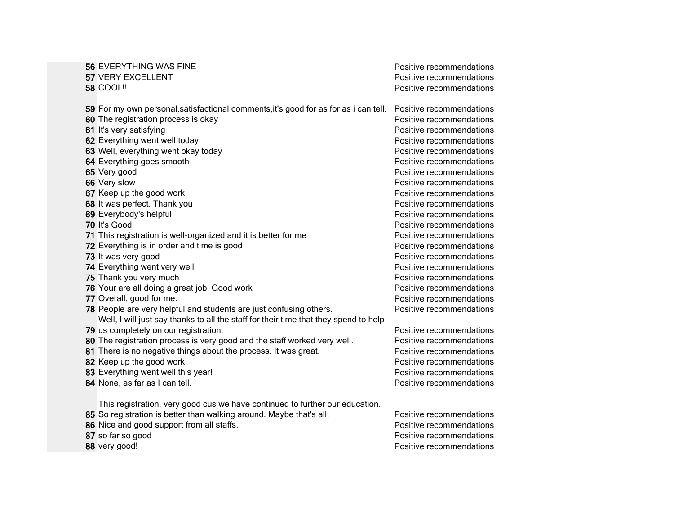| <b>56 EVERYTHING WAS FINE</b>                                                        | Positive recommendations |
|--------------------------------------------------------------------------------------|--------------------------|
| 57 VERY EXCELLENT                                                                    | Positive recommendations |
| <b>58 COOL!!</b>                                                                     | Positive recommendations |
| 59 For my own personal, satisfactional comments, it's good for as for as i can tell. | Positive recommendations |
| 60 The registration process is okay                                                  | Positive recommendations |
| 61 It's very satisfying                                                              | Positive recommendations |
| 62 Everything went well today                                                        | Positive recommendations |
| 63 Well, everything went okay today                                                  | Positive recommendations |
| 64 Everything goes smooth                                                            | Positive recommendations |
| 65 Very good                                                                         | Positive recommendations |
| 66 Very slow                                                                         | Positive recommendations |
| 67 Keep up the good work                                                             | Positive recommendations |
| 68 It was perfect. Thank you                                                         | Positive recommendations |
| 69 Everybody's helpful                                                               | Positive recommendations |
| 70 It's Good                                                                         | Positive recommendations |
| 71 This registration is well-organized and it is better for me                       | Positive recommendations |
| 72 Everything is in order and time is good                                           | Positive recommendations |
| 73 It was very good                                                                  | Positive recommendations |
| 74 Everything went very well                                                         | Positive recommendations |
| 75 Thank you very much                                                               | Positive recommendations |
| 76 Your are all doing a great job. Good work                                         | Positive recommendations |
| 77 Overall, good for me.                                                             | Positive recommendations |
| 78 People are very helpful and students are just confusing others.                   | Positive recommendations |
| Well, I will just say thanks to all the staff for their time that they spend to help |                          |
| 79 us completely on our registration.                                                | Positive recommendations |
| 80 The registration process is very good and the staff worked very well.             | Positive recommendations |
| 81 There is no negative things about the process. It was great.                      | Positive recommendations |
| 82 Keep up the good work.                                                            | Positive recommendations |
| 83 Everything went well this year!                                                   | Positive recommendations |
| 84 None, as far as I can tell.                                                       | Positive recommendations |
| This registration, very good cus we have continued to further our education.         |                          |
| 85 So registration is better than walking around. Maybe that's all.                  | Positive recommendations |
| 86 Nice and good support from all staffs.                                            | Positive recommendations |
| 87 so far so good                                                                    | Positive recommendations |
| 88 very good!                                                                        | Positive recommendations |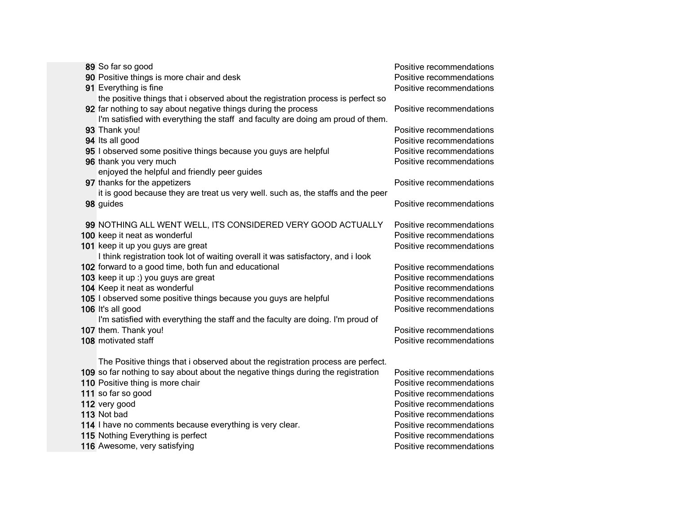| 89 So far so good                                                                                                     | Positive recommendations |
|-----------------------------------------------------------------------------------------------------------------------|--------------------------|
| 90 Positive things is more chair and desk                                                                             | Positive recommendations |
| 91 Everything is fine                                                                                                 | Positive recommendations |
| the positive things that i observed about the registration process is perfect so                                      |                          |
| 92 far nothing to say about negative things during the process                                                        | Positive recommendations |
| I'm satisfied with everything the staff and faculty are doing am proud of them.                                       |                          |
| 93 Thank you!                                                                                                         | Positive recommendations |
| 94 Its all good                                                                                                       | Positive recommendations |
| 95 I observed some positive things because you guys are helpful                                                       | Positive recommendations |
| 96 thank you very much                                                                                                | Positive recommendations |
| enjoyed the helpful and friendly peer guides                                                                          |                          |
| 97 thanks for the appetizers                                                                                          | Positive recommendations |
| it is good because they are treat us very well. such as, the staffs and the peer                                      |                          |
| 98 guides                                                                                                             | Positive recommendations |
|                                                                                                                       |                          |
| 99 NOTHING ALL WENT WELL, ITS CONSIDERED VERY GOOD ACTUALLY                                                           | Positive recommendations |
| 100 keep it neat as wonderful                                                                                         | Positive recommendations |
| 101 keep it up you guys are great<br>I think registration took lot of waiting overall it was satisfactory, and i look | Positive recommendations |
| 102 forward to a good time, both fun and educational                                                                  | Positive recommendations |
| 103 keep it up :) you guys are great                                                                                  | Positive recommendations |
| 104 Keep it neat as wonderful                                                                                         | Positive recommendations |
| 105 I observed some positive things because you guys are helpful                                                      | Positive recommendations |
| 106 It's all good                                                                                                     | Positive recommendations |
| I'm satisfied with everything the staff and the faculty are doing. I'm proud of                                       |                          |
| 107 them. Thank you!                                                                                                  | Positive recommendations |
| 108 motivated staff                                                                                                   | Positive recommendations |
|                                                                                                                       |                          |
| The Positive things that i observed about the registration process are perfect.                                       |                          |
| 109 so far nothing to say about about the negative things during the registration                                     | Positive recommendations |
| 110 Positive thing is more chair                                                                                      | Positive recommendations |
| 111 so far so good                                                                                                    | Positive recommendations |
| 112 very good                                                                                                         | Positive recommendations |
| 113 Not bad                                                                                                           | Positive recommendations |
| 114 I have no comments because everything is very clear.                                                              | Positive recommendations |
| 115 Nothing Everything is perfect                                                                                     | Positive recommendations |
| 116 Awesome, very satisfying                                                                                          | Positive recommendations |
|                                                                                                                       |                          |